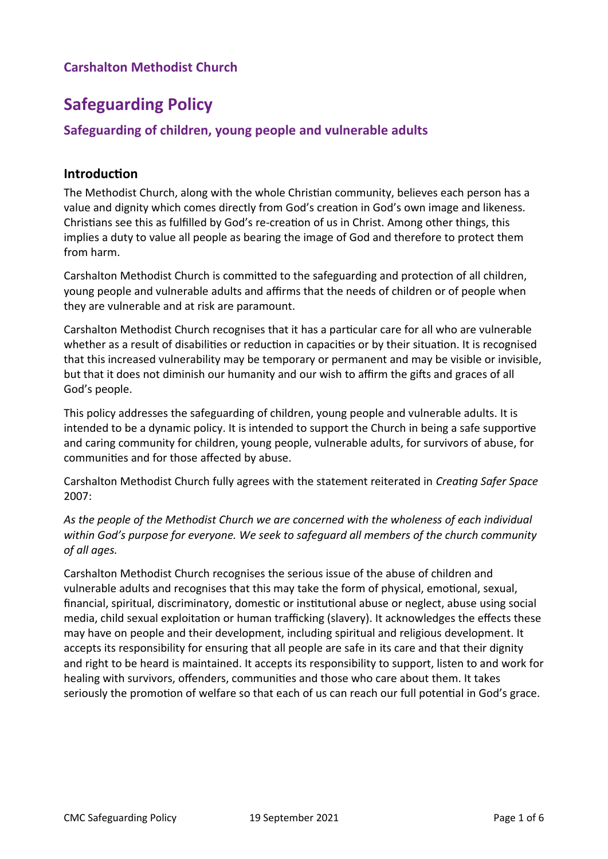# **Safeguarding Policy**

# **Safeguarding of children, young people and vulnerable adults**

## **Introduction**

The Methodist Church, along with the whole Christian community, believes each person has a value and dignity which comes directly from God's creation in God's own image and likeness. Christians see this as fulfilled by God's re-creation of us in Christ. Among other things, this implies a duty to value all people as bearing the image of God and therefore to protect them from harm.

Carshalton Methodist Church is committed to the safeguarding and protection of all children, young people and vulnerable adults and affirms that the needs of children or of people when they are vulnerable and at risk are paramount.

Carshalton Methodist Church recognises that it has a particular care for all who are vulnerable whether as a result of disabilities or reduction in capacities or by their situation. It is recognised that this increased vulnerability may be temporary or permanent and may be visible or invisible, but that it does not diminish our humanity and our wish to affirm the gifts and graces of all God's people.

This policy addresses the safeguarding of children, young people and vulnerable adults. It is intended to be a dynamic policy. It is intended to support the Church in being a safe supportive and caring community for children, young people, vulnerable adults, for survivors of abuse, for communities and for those affected by abuse.

Carshalton Methodist Church fully agrees with the statement reiterated in *Creating Safer Space*  2007:

*As the people of the Methodist Church we are concerned with the wholeness of each individual within God's purpose for everyone. We seek to safeguard all members of the church community of all ages.*

Carshalton Methodist Church recognises the serious issue of the abuse of children and vulnerable adults and recognises that this may take the form of physical, emotional, sexual, financial, spiritual, discriminatory, domestic or institutional abuse or neglect, abuse using social media, child sexual exploitation or human trafficking (slavery). It acknowledges the effects these may have on people and their development, including spiritual and religious development. It accepts its responsibility for ensuring that all people are safe in its care and that their dignity and right to be heard is maintained. It accepts its responsibility to support, listen to and work for healing with survivors, offenders, communities and those who care about them. It takes seriously the promotion of welfare so that each of us can reach our full potential in God's grace.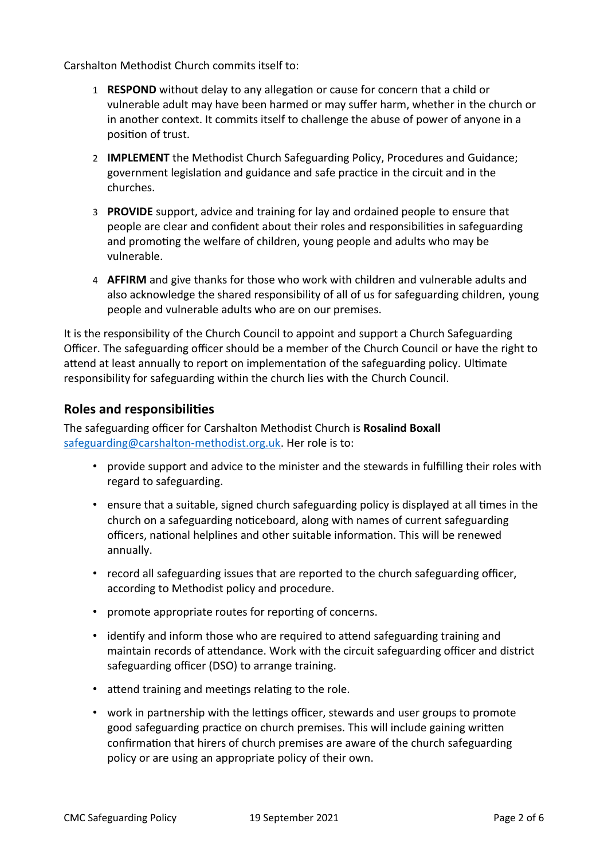Carshalton Methodist Church commits itself to:

- 1 **RESPOND** without delay to any allegation or cause for concern that a child or vulnerable adult may have been harmed or may suffer harm, whether in the church or in another context. It commits itself to challenge the abuse of power of anyone in a position of trust.
- 2 **IMPLEMENT** the Methodist Church Safeguarding Policy, Procedures and Guidance; government legislation and guidance and safe practice in the circuit and in the churches.
- 3 **PROVIDE** support, advice and training for lay and ordained people to ensure that people are clear and confident about their roles and responsibilities in safeguarding and promoting the welfare of children, young people and adults who may be vulnerable.
- 4 **AFFIRM** and give thanks for those who work with children and vulnerable adults and also acknowledge the shared responsibility of all of us for safeguarding children, young people and vulnerable adults who are on our premises.

It is the responsibility of the Church Council to appoint and support a Church Safeguarding Officer. The safeguarding officer should be a member of the Church Council or have the right to attend at least annually to report on implementation of the safeguarding policy. Ultimate responsibility for safeguarding within the church lies with the Church Council.

#### **Roles and responsibilities**

The safeguarding officer for Carshalton Methodist Church is **Rosalind Boxall** [safeguarding@carshalton-methodist.org.uk](mailto:safeguarding@carshalton-methodist.org.uk). Her role is to:

- provide support and advice to the minister and the stewards in fulfilling their roles with regard to safeguarding.
- ensure that a suitable, signed church safeguarding policy is displayed at all times in the church on a safeguarding noticeboard, along with names of current safeguarding officers, national helplines and other suitable information. This will be renewed annually.
- record all safeguarding issues that are reported to the church safeguarding officer, according to Methodist policy and procedure.
- promote appropriate routes for reporting of concerns.
- identify and inform those who are required to attend safeguarding training and maintain records of attendance. Work with the circuit safeguarding officer and district safeguarding officer (DSO) to arrange training.
- attend training and meetings relating to the role.
- work in partnership with the lettings officer, stewards and user groups to promote good safeguarding practice on church premises. This will include gaining written confirmation that hirers of church premises are aware of the church safeguarding policy or are using an appropriate policy of their own.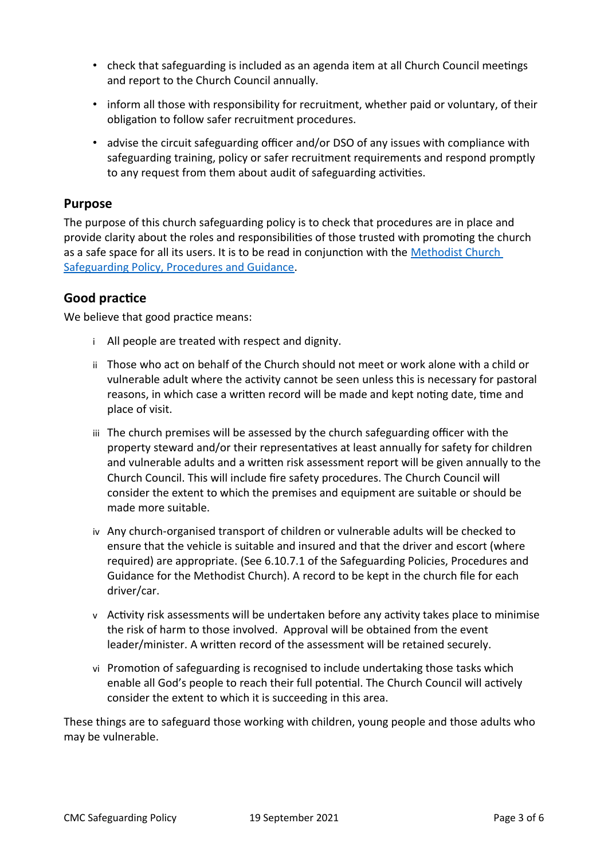- check that safeguarding is included as an agenda item at all Church Council meetings and report to the Church Council annually.
- inform all those with responsibility for recruitment, whether paid or voluntary, of their obligation to follow safer recruitment procedures.
- advise the circuit safeguarding officer and/or DSO of any issues with compliance with safeguarding training, policy or safer recruitment requirements and respond promptly to any request from them about audit of safeguarding activities.

#### **Purpose**

The purpose of this church safeguarding policy is to check that procedures are in place and provide clarity about the roles and responsibilities of those trusted with promoting the church as a safe space for all its users. It is to be read in conjunction with the [Methodist Church](https://www.methodist.org.uk/safeguarding/policies-procedure-and-information/policies-and-guidance/)  [Safeguarding Policy, Procedures and Guidance](https://www.methodist.org.uk/safeguarding/policies-procedure-and-information/policies-and-guidance/).

#### **Good practice**

We believe that good practice means:

- i All people are treated with respect and dignity.
- ii Those who act on behalf of the Church should not meet or work alone with a child or vulnerable adult where the activity cannot be seen unless this is necessary for pastoral reasons, in which case a written record will be made and kept noting date, time and place of visit.
- iii The church premises will be assessed by the church safeguarding officer with the property steward and/or their representatives at least annually for safety for children and vulnerable adults and a written risk assessment report will be given annually to the Church Council. This will include fire safety procedures. The Church Council will consider the extent to which the premises and equipment are suitable or should be made more suitable.
- iv Any church-organised transport of children or vulnerable adults will be checked to ensure that the vehicle is suitable and insured and that the driver and escort (where required) are appropriate. (See 6.10.7.1 of the Safeguarding Policies, Procedures and Guidance for the Methodist Church). A record to be kept in the church file for each driver/car.
- v Activity risk assessments will be undertaken before any activity takes place to minimise the risk of harm to those involved. Approval will be obtained from the event leader/minister. A written record of the assessment will be retained securely.
- vi Promotion of safeguarding is recognised to include undertaking those tasks which enable all God's people to reach their full potential. The Church Council will actively consider the extent to which it is succeeding in this area.

These things are to safeguard those working with children, young people and those adults who may be vulnerable.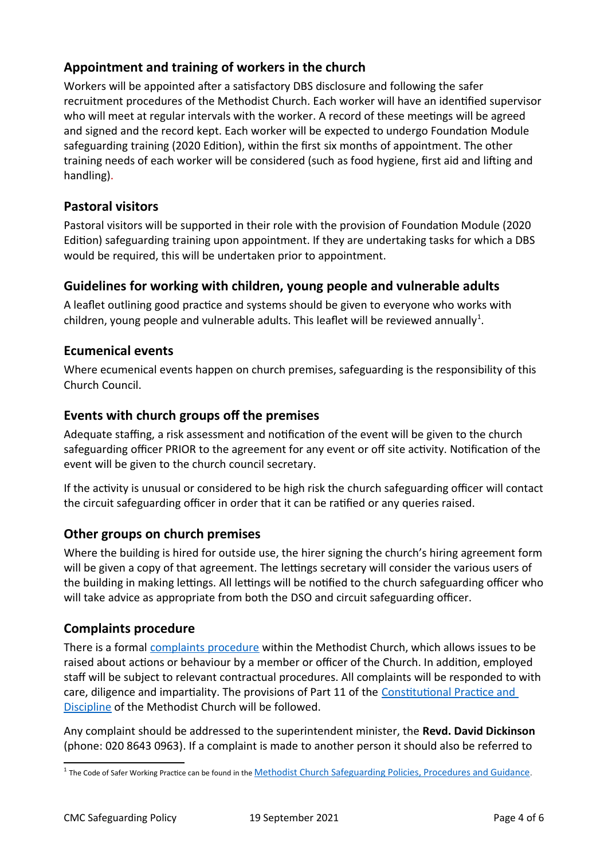# **Appointment and training of workers in the church**

Workers will be appointed after a satisfactory DBS disclosure and following the safer recruitment procedures of the Methodist Church. Each worker will have an identified supervisor who will meet at regular intervals with the worker. A record of these meetings will be agreed and signed and the record kept. Each worker will be expected to undergo Foundation Module safeguarding training (2020 Edition), within the first six months of appointment. The other training needs of each worker will be considered (such as food hygiene, first aid and lifting and handling).

# **Pastoral visitors**

Pastoral visitors will be supported in their role with the provision of Foundation Module (2020 Edition) safeguarding training upon appointment. If they are undertaking tasks for which a DBS would be required, this will be undertaken prior to appointment.

## **Guidelines for working with children, young people and vulnerable adults**

A leaflet outlining good practice and systems should be given to everyone who works with children, young people and vulnerable adults. This leaflet will be reviewed annually<sup>[1](#page-3-0)</sup>.

## **Ecumenical events**

Where ecumenical events happen on church premises, safeguarding is the responsibility of this Church Council.

## **Events with church groups off the premises**

Adequate staffing, a risk assessment and notification of the event will be given to the church safeguarding officer PRIOR to the agreement for any event or off site activity. Notification of the event will be given to the church council secretary.

If the activity is unusual or considered to be high risk the church safeguarding officer will contact the circuit safeguarding officer in order that it can be ratified or any queries raised.

## **Other groups on church premises**

Where the building is hired for outside use, the hirer signing the church's hiring agreement form will be given a copy of that agreement. The lettings secretary will consider the various users of the building in making lettings. All lettings will be notified to the church safeguarding officer who will take advice as appropriate from both the DSO and circuit safeguarding officer.

## **Complaints procedure**

There is a formal [complaints procedure](https://www.methodist.org.uk/for-churches/governance/complaints-and-discipline/) within the Methodist Church, which allows issues to be raised about actions or behaviour by a member or officer of the Church. In addition, employed staff will be subject to relevant contractual procedures. All complaints will be responded to with care, diligence and impartiality. The provisions of Part 11 of the [Constitutional Practice and](https://www.methodist.org.uk/for-churches/governance/cpd/)  [Discipline](https://www.methodist.org.uk/for-churches/governance/cpd/) of the Methodist Church will be followed.

Any complaint should be addressed to the superintendent minister, the **Revd. David Dickinson** (phone: 020 8643 0963). If a complaint is made to another person it should also be referred to

<span id="page-3-0"></span><sup>&</sup>lt;sup>1</sup> The Code of Safer Working Practice can be found in the **Methodist Church Safeguarding Policies**, Procedures and Guidance.